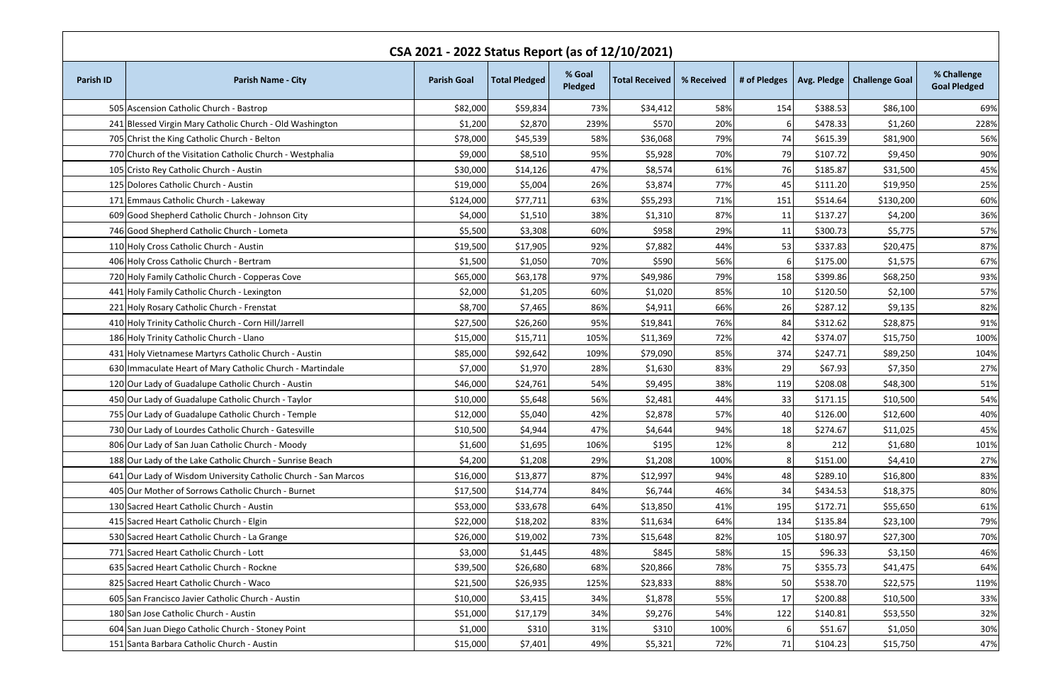| CSA 2021 - 2022 Status Report (as of 12/10/2021) |                                                                |                    |                      |                   |                       |            |                 |          |                              |                                    |
|--------------------------------------------------|----------------------------------------------------------------|--------------------|----------------------|-------------------|-----------------------|------------|-----------------|----------|------------------------------|------------------------------------|
| <b>Parish ID</b>                                 | <b>Parish Name - City</b>                                      | <b>Parish Goal</b> | <b>Total Pledged</b> | % Goal<br>Pledged | <b>Total Received</b> | % Received | # of Pledges    |          | Avg. Pledge   Challenge Goal | % Challenge<br><b>Goal Pledged</b> |
|                                                  | 505 Ascension Catholic Church - Bastrop                        | \$82,000           | \$59,834             | 73%               | \$34,412              | 58%        | 154             | \$388.53 | \$86,100                     | 69%                                |
|                                                  | 241 Blessed Virgin Mary Catholic Church - Old Washington       | \$1,200            | \$2,870              | 239%              | \$570                 | 20%        | 6               | \$478.33 | \$1,260                      | 228%                               |
|                                                  | 705 Christ the King Catholic Church - Belton                   | \$78,000           | \$45,539             | 58%               | \$36,068              | 79%        | 74              | \$615.39 | \$81,900                     | 56%                                |
|                                                  | 770 Church of the Visitation Catholic Church - Westphalia      | \$9,000            | \$8,510              | 95%               | \$5,928               | 70%        | 79              | \$107.72 | \$9,450                      | 90%                                |
|                                                  | 105 Cristo Rey Catholic Church - Austin                        | \$30,000           | \$14,126             | 47%               | \$8,574               | 61%        | 76              | \$185.87 | \$31,500                     | 45%                                |
|                                                  | 125 Dolores Catholic Church - Austin                           | \$19,000           | \$5,004              | 26%               | \$3,874               | 77%        | 45              | \$111.20 | \$19,950                     | 25%                                |
|                                                  | 171 Emmaus Catholic Church - Lakeway                           | \$124,000          | \$77,711             | 63%               | \$55,293              | 71%        | 151             | \$514.64 | \$130,200                    | 60%                                |
|                                                  | 609 Good Shepherd Catholic Church - Johnson City               | \$4,000            | \$1,510              | 38%               | \$1,310               | 87%        | 11              | \$137.27 | \$4,200                      | 36%                                |
|                                                  | 746 Good Shepherd Catholic Church - Lometa                     | \$5,500            | \$3,308              | 60%               | \$958                 | 29%        | 11              | \$300.73 | \$5,775                      | 57%                                |
|                                                  | 110 Holy Cross Catholic Church - Austin                        | \$19,500           | \$17,905             | 92%               | \$7,882               | 44%        | 53              | \$337.83 | \$20,475                     | 87%                                |
|                                                  | 406 Holy Cross Catholic Church - Bertram                       | \$1,500            | \$1,050              | 70%               | \$590                 | 56%        | 6               | \$175.00 | \$1,575                      | 67%                                |
|                                                  | 720 Holy Family Catholic Church - Copperas Cove                | \$65,000           | \$63,178             | 97%               | \$49,986              | 79%        | 158             | \$399.86 | \$68,250                     | 93%                                |
|                                                  | 441 Holy Family Catholic Church - Lexington                    | \$2,000            | \$1,205              | 60%               | \$1,020               | 85%        | 10 <sub>l</sub> | \$120.50 | \$2,100                      | 57%                                |
|                                                  | 221 Holy Rosary Catholic Church - Frenstat                     | \$8,700            | \$7,465              | 86%               | \$4,911               | 66%        | 26              | \$287.12 | \$9,135                      | 82%                                |
|                                                  | 410 Holy Trinity Catholic Church - Corn Hill/Jarrell           | \$27,500           | \$26,260             | 95%               | \$19,841              | 76%        | 84              | \$312.62 | \$28,875                     | 91%                                |
|                                                  | 186 Holy Trinity Catholic Church - Llano                       | \$15,000           | \$15,711             | 105%              | \$11,369              | 72%        | 42              | \$374.07 | \$15,750                     | 100%                               |
|                                                  | 431 Holy Vietnamese Martyrs Catholic Church - Austin           | \$85,000           | \$92,642             | 109%              | \$79,090              | 85%        | 374             | \$247.71 | \$89,250                     | 104%                               |
|                                                  | 630 Immaculate Heart of Mary Catholic Church - Martindale      | \$7,000            | \$1,970              | 28%               | \$1,630               | 83%        | 29              | \$67.93  | \$7,350                      | 27%                                |
|                                                  | 120 Our Lady of Guadalupe Catholic Church - Austin             | \$46,000           | \$24,761             | 54%               | \$9,495               | 38%        | 119             | \$208.08 | \$48,300                     | 51%                                |
|                                                  | 450 Our Lady of Guadalupe Catholic Church - Taylor             | \$10,000           | \$5,648              | 56%               | \$2,481               | 44%        | 33              | \$171.15 | \$10,500                     | 54%                                |
|                                                  | 755 Our Lady of Guadalupe Catholic Church - Temple             | \$12,000           | \$5,040              | 42%               | \$2,878               | 57%        | 40              | \$126.00 | \$12,600                     | 40%                                |
|                                                  | 730 Our Lady of Lourdes Catholic Church - Gatesville           | \$10,500           | \$4,944              | 47%               | \$4,644               | 94%        | 18              | \$274.67 | \$11,025                     | 45%                                |
|                                                  | 806 Our Lady of San Juan Catholic Church - Moody               | \$1,600            | \$1,695              | 106%              | \$195                 | 12%        |                 | 212      | \$1,680                      | 101%                               |
|                                                  | 188 Our Lady of the Lake Catholic Church - Sunrise Beach       | \$4,200            | \$1,208              | 29%               | \$1,208               | 100%       | 8               | \$151.00 | \$4,410                      | 27%                                |
|                                                  | 641 Our Lady of Wisdom University Catholic Church - San Marcos | \$16,000           | \$13,877             | 87%               | \$12,997              | 94%        | 48              | \$289.10 | \$16,800                     | 83%                                |
|                                                  | 405 Our Mother of Sorrows Catholic Church - Burnet             | \$17,500           | \$14,774             | 84%               | \$6,744               | 46%        | 34              | \$434.53 | \$18,375                     | 80%                                |
|                                                  | 130 Sacred Heart Catholic Church - Austin                      | \$53,000           | \$33,678             | 64%               | \$13,850              | 41%        | 195             | \$172.71 | \$55,650                     | 61%                                |
|                                                  | 415 Sacred Heart Catholic Church - Elgin                       | \$22,000           | \$18,202             | 83%               | \$11,634              | 64%        | 134             | \$135.84 | \$23,100                     | 79%                                |
|                                                  | 530 Sacred Heart Catholic Church - La Grange                   | \$26,000           | \$19,002             | 73%               | \$15,648              | 82%        | 105             | \$180.97 | \$27,300                     | 70%                                |
|                                                  | 771 Sacred Heart Catholic Church - Lott                        | \$3,000            | \$1,445              | 48%               | \$845                 | 58%        | 15              | \$96.33  | \$3,150                      | 46%                                |
|                                                  | 635 Sacred Heart Catholic Church - Rockne                      | \$39,500           | \$26,680             | 68%               | \$20,866              | 78%        | 75              | \$355.73 | \$41,475                     | 64%                                |
|                                                  | 825 Sacred Heart Catholic Church - Waco                        | \$21,500           | \$26,935             | 125%              | \$23,833              | 88%        | 50              | \$538.70 | \$22,575                     | 119%                               |
|                                                  | 605 San Francisco Javier Catholic Church - Austin              | \$10,000           | \$3,415              | 34%               | \$1,878               | 55%        | 17              | \$200.88 | \$10,500                     | 33%                                |
|                                                  | 180 San Jose Catholic Church - Austin                          | \$51,000           | \$17,179             | 34%               | \$9,276               | 54%        | 122             | \$140.81 | \$53,550                     | 32%                                |
|                                                  | 604 San Juan Diego Catholic Church - Stoney Point              | \$1,000            | \$310                | 31%               | \$310                 | 100%       | 6               | \$51.67  | \$1,050                      | 30%                                |
|                                                  | 151 Santa Barbara Catholic Church - Austin                     | \$15,000           | \$7,401              | 49%               | \$5,321               | 72%        | 71              | \$104.23 | \$15,750                     | 47%                                |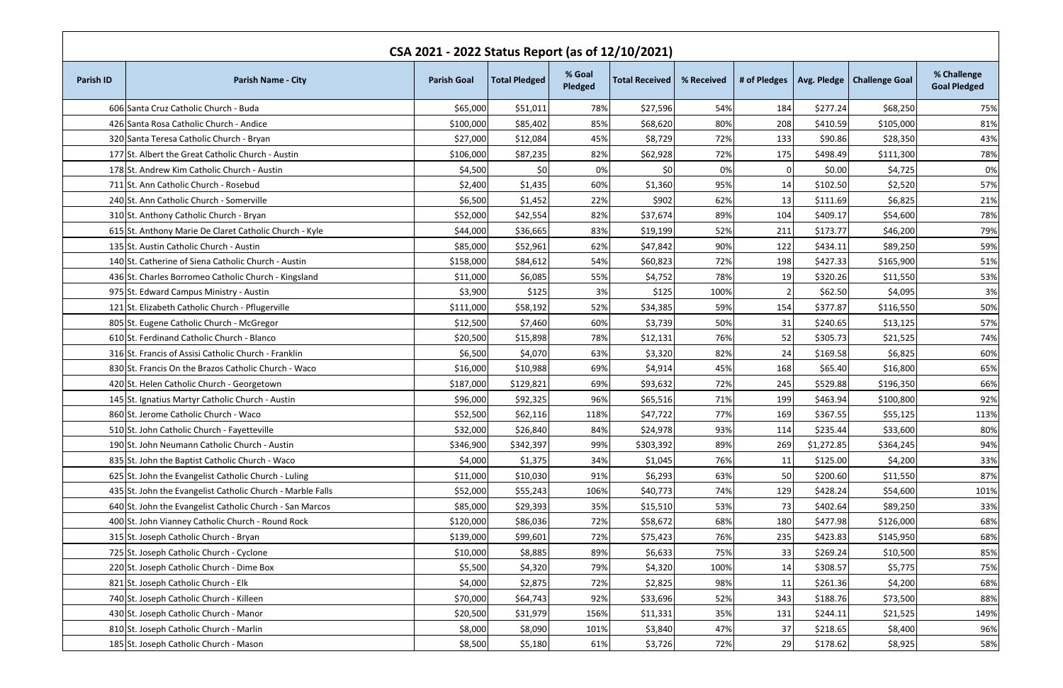| CSA 2021 - 2022 Status Report (as of 12/10/2021) |                                                            |                    |                      |                   |                       |            |              |            |                              |                                    |  |
|--------------------------------------------------|------------------------------------------------------------|--------------------|----------------------|-------------------|-----------------------|------------|--------------|------------|------------------------------|------------------------------------|--|
| <b>Parish ID</b>                                 | <b>Parish Name - City</b>                                  | <b>Parish Goal</b> | <b>Total Pledged</b> | % Goal<br>Pledged | <b>Total Received</b> | % Received | # of Pledges |            | Avg. Pledge   Challenge Goal | % Challenge<br><b>Goal Pledged</b> |  |
|                                                  | 606 Santa Cruz Catholic Church - Buda                      | \$65,000           | \$51,011             | 78%               | \$27,596              | 54%        | 184          | \$277.24   | \$68,250                     | 75%                                |  |
|                                                  | 426 Santa Rosa Catholic Church - Andice                    | \$100,000          | \$85,402             | 85%               | \$68,620              | 80%        | 208          | \$410.59   | \$105,000                    | 81%                                |  |
|                                                  | 320 Santa Teresa Catholic Church - Bryan                   | \$27,000           | \$12,084             | 45%               | \$8,729               | 72%        | 133          | \$90.86    | \$28,350                     | 43%                                |  |
|                                                  | 177 St. Albert the Great Catholic Church - Austin          | \$106,000          | \$87,235             | 82%               | \$62,928              | 72%        | 175          | \$498.49   | \$111,300                    | 78%                                |  |
|                                                  | 178 St. Andrew Kim Catholic Church - Austin                | \$4,500            | 50                   | 0%                | \$0                   | 0%         |              | \$0.00     | \$4,725                      | 0%                                 |  |
|                                                  | 711 St. Ann Catholic Church - Rosebud                      | \$2,400            | \$1,435              | 60%               | \$1,360               | 95%        | 14           | \$102.50   | \$2,520                      | 57%                                |  |
|                                                  | 240 St. Ann Catholic Church - Somerville                   | \$6,500            | \$1,452              | 22%               | \$902                 | 62%        | 13           | \$111.69   | \$6,825                      | 21%                                |  |
|                                                  | 310 St. Anthony Catholic Church - Bryan                    | \$52,000           | \$42,554             | 82%               | \$37,674              | 89%        | 104          | \$409.17   | \$54,600                     | 78%                                |  |
|                                                  | 615 St. Anthony Marie De Claret Catholic Church - Kyle     | \$44,000           | \$36,665             | 83%               | \$19,199              | 52%        | 211          | \$173.77   | \$46,200                     | 79%                                |  |
|                                                  | 135 St. Austin Catholic Church - Austin                    | \$85,000           | \$52,961             | 62%               | \$47,842              | 90%        | 122          | \$434.11   | \$89,250                     | 59%                                |  |
|                                                  | 140 St. Catherine of Siena Catholic Church - Austin        | \$158,000          | \$84,612             | 54%               | \$60,823              | 72%        | 198          | \$427.33   | \$165,900                    | 51%                                |  |
|                                                  | 436 St. Charles Borromeo Catholic Church - Kingsland       | \$11,000           | \$6,085              | 55%               | \$4,752               | 78%        | 19           | \$320.26   | \$11,550                     | 53%                                |  |
|                                                  | 975 St. Edward Campus Ministry - Austin                    | \$3,900            | \$125                | 3%                | \$125                 | 100%       | 2            | \$62.50    | \$4,095                      | 3%                                 |  |
|                                                  | 121 St. Elizabeth Catholic Church - Pflugerville           | \$111,000          | \$58,192             | 52%               | \$34,385              | 59%        | 154          | \$377.87   | \$116,550                    | 50%                                |  |
|                                                  | 805 St. Eugene Catholic Church - McGregor                  | \$12,500           | \$7,460              | 60%               | \$3,739               | 50%        | 31           | \$240.65   | \$13,125                     | 57%                                |  |
|                                                  | 610 St. Ferdinand Catholic Church - Blanco                 | \$20,500           | \$15,898             | 78%               | \$12,131              | 76%        | 52           | \$305.73   | \$21,525                     | 74%                                |  |
|                                                  | 316 St. Francis of Assisi Catholic Church - Franklin       | \$6,500            | \$4,070              | 63%               | \$3,320               | 82%        | 24           | \$169.58   | \$6,825                      | 60%                                |  |
|                                                  | 830 St. Francis On the Brazos Catholic Church - Waco       | \$16,000           | \$10,988             | 69%               | \$4,914               | 45%        | 168          | \$65.40    | \$16,800                     | 65%                                |  |
|                                                  | 420 St. Helen Catholic Church - Georgetown                 | \$187,000          | \$129,821            | 69%               | \$93,632              | 72%        | 245          | \$529.88   | \$196,350                    | 66%                                |  |
|                                                  | 145 St. Ignatius Martyr Catholic Church - Austin           | \$96,000           | \$92,325             | 96%               | \$65,516              | 71%        | 199          | \$463.94   | \$100,800                    | 92%                                |  |
|                                                  | 860 St. Jerome Catholic Church - Waco                      | \$52,500           | \$62,116             | 118%              | \$47,722              | 77%        | 169          | \$367.55   | \$55,125                     | 113%                               |  |
|                                                  | 510 St. John Catholic Church - Fayetteville                | \$32,000           | \$26,840             | 84%               | \$24,978              | 93%        | 114          | \$235.44]  | \$33,600                     | 80%                                |  |
|                                                  | 190 St. John Neumann Catholic Church - Austin              | \$346,900          | \$342,397            | 99%               | \$303,392             | 89%        | 269          | \$1,272.85 | \$364,245                    | 94%                                |  |
|                                                  | 835 St. John the Baptist Catholic Church - Waco            | \$4,000            | \$1,375              | 34%               | \$1,045               | 76%        | 11           | \$125.00   | \$4,200                      | 33%                                |  |
|                                                  | 625 St. John the Evangelist Catholic Church - Luling       | \$11,000           | \$10,030             | 91%               | \$6,293               | 63%        | 50           | \$200.60   | \$11,550                     | 87%                                |  |
|                                                  | 435 St. John the Evangelist Catholic Church - Marble Falls | \$52,000           | \$55,243             | 106%              | \$40,773              | 74%        | 129          | \$428.24   | \$54,600                     | 101%                               |  |
|                                                  | 640 St. John the Evangelist Catholic Church - San Marcos   | \$85,000           | \$29,393             | 35%               | \$15,510              | 53%        | 73           | \$402.64   | \$89,250                     | 33%                                |  |
|                                                  | 400 St. John Vianney Catholic Church - Round Rock          | \$120,000          | \$86,036             | 72%               | \$58,672              | 68%        | 180          | \$477.98   | \$126,000                    | 68%                                |  |
|                                                  | 315 St. Joseph Catholic Church - Bryan                     | \$139,000          | \$99,601             | 72%               | \$75,423              | 76%        | 235          | \$423.83   | \$145,950                    | 68%                                |  |
|                                                  | 725 St. Joseph Catholic Church - Cyclone                   | \$10,000           | \$8,885              | 89%               | \$6,633               | 75%        | 33           | \$269.24   | \$10,500                     | 85%                                |  |
|                                                  | 220 St. Joseph Catholic Church - Dime Box                  | \$5,500            | \$4,320              | 79%               | \$4,320               | 100%       | 14           | \$308.57   | \$5,775                      | 75%                                |  |
|                                                  | 821 St. Joseph Catholic Church - Elk                       | \$4,000            | \$2,875              | 72%               | \$2,825               | 98%        | 11           | \$261.36   | \$4,200                      | 68%                                |  |
|                                                  | 740 St. Joseph Catholic Church - Killeen                   | \$70,000           | \$64,743             | 92%               | \$33,696              | 52%        | 343          | \$188.76   | \$73,500                     | 88%                                |  |
|                                                  | 430 St. Joseph Catholic Church - Manor                     | \$20,500           | \$31,979             | 156%              | \$11,331              | 35%        | 131          | \$244.11   | \$21,525                     | 149%                               |  |
|                                                  | 810 St. Joseph Catholic Church - Marlin                    | \$8,000            | \$8,090              | 101%              | \$3,840               | 47%        | 37           | \$218.65   | \$8,400                      | 96%                                |  |
|                                                  | 185 St. Joseph Catholic Church - Mason                     | \$8,500            | \$5,180              | 61%               | \$3,726               | 72%        | 29           | \$178.62   | \$8,925                      | 58%                                |  |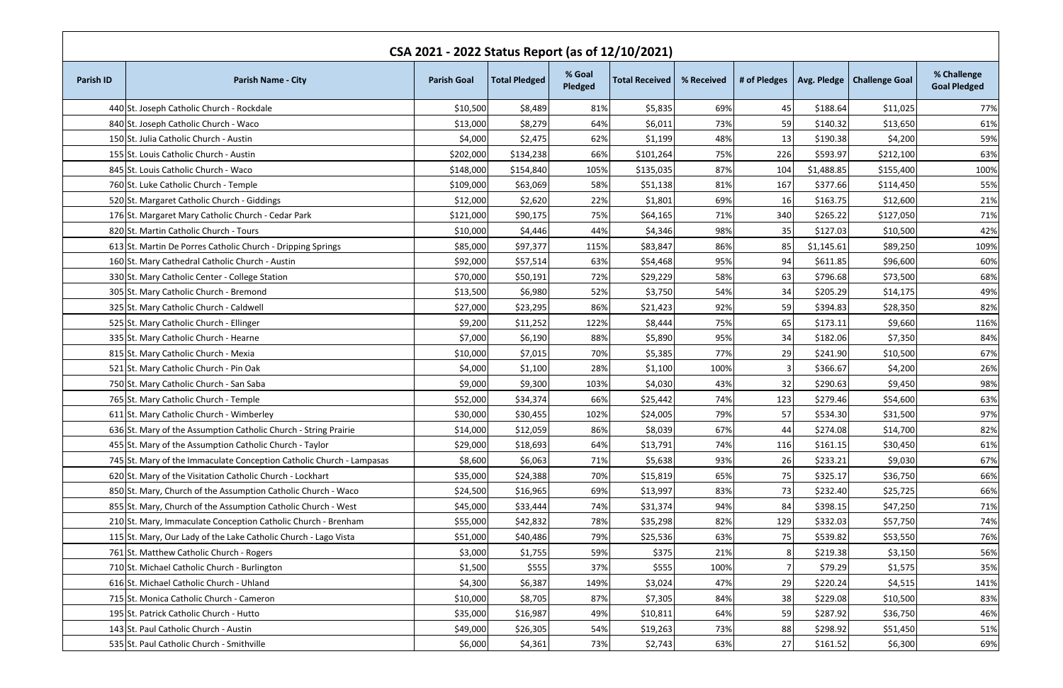| CSA 2021 - 2022 Status Report (as of 12/10/2021) |                                                                      |                    |                      |                   |                       |            |     |            |                                             |                                    |  |
|--------------------------------------------------|----------------------------------------------------------------------|--------------------|----------------------|-------------------|-----------------------|------------|-----|------------|---------------------------------------------|------------------------------------|--|
| <b>Parish ID</b>                                 | <b>Parish Name - City</b>                                            | <b>Parish Goal</b> | <b>Total Pledged</b> | % Goal<br>Pledged | <b>Total Received</b> | % Received |     |            | # of Pledges   Avg. Pledge   Challenge Goal | % Challenge<br><b>Goal Pledged</b> |  |
|                                                  | 440 St. Joseph Catholic Church - Rockdale                            | \$10,500           | \$8,489              | 81%               | \$5,835               | 69%        | 45  | \$188.64   | \$11,025                                    | 77%                                |  |
|                                                  | 840 St. Joseph Catholic Church - Waco                                | \$13,000           | \$8,279              | 64%               | \$6,011               | 73%        | 59  | \$140.32   | \$13,650                                    | 61%                                |  |
|                                                  | 150 St. Julia Catholic Church - Austin                               | \$4,000            | \$2,475              | 62%               | \$1,199               | 48%        | 13  | \$190.38   | \$4,200                                     | 59%                                |  |
|                                                  | 155 St. Louis Catholic Church - Austin                               | \$202,000          | \$134,238            | 66%               | \$101,264             | 75%        | 226 | \$593.97   | \$212,100                                   | 63%                                |  |
|                                                  | 845 St. Louis Catholic Church - Waco                                 | \$148,000          | \$154,840            | 105%              | \$135,035             | 87%        | 104 | \$1,488.85 | \$155,400                                   | 100%                               |  |
|                                                  | 760 St. Luke Catholic Church - Temple                                | \$109,000          | \$63,069             | 58%               | \$51,138              | 81%        | 167 | \$377.66   | \$114,450                                   | 55%                                |  |
|                                                  | 520 St. Margaret Catholic Church - Giddings                          | \$12,000           | \$2,620              | 22%               | \$1,801               | 69%        | 16  | \$163.75   | \$12,600                                    | 21%                                |  |
|                                                  | 176 St. Margaret Mary Catholic Church - Cedar Park                   | \$121,000          | \$90,175             | 75%               | \$64,165              | 71%        | 340 | \$265.22   | \$127,050                                   | 71%                                |  |
|                                                  | 820 St. Martin Catholic Church - Tours                               | \$10,000           | \$4,446              | 44%               | \$4,346               | 98%        | 35  | \$127.03   | \$10,500                                    | 42%                                |  |
|                                                  | 613 St. Martin De Porres Catholic Church - Dripping Springs          | \$85,000           | \$97,377             | 115%              | \$83,847              | 86%        | 85  | \$1,145.61 | \$89,250                                    | 109%                               |  |
|                                                  | 160 St. Mary Cathedral Catholic Church - Austin                      | \$92,000           | \$57,514             | 63%               | \$54,468              | 95%        | 94  | \$611.85   | \$96,600                                    | 60%                                |  |
|                                                  | 330 St. Mary Catholic Center - College Station                       | \$70,000           | \$50,191             | 72%               | \$29,229              | 58%        | 63  | \$796.68   | \$73,500                                    | 68%                                |  |
|                                                  | 305 St. Mary Catholic Church - Bremond                               | \$13,500           | \$6,980              | 52%               | \$3,750               | 54%        | 34  | \$205.29   | \$14,175                                    | 49%                                |  |
|                                                  | 325 St. Mary Catholic Church - Caldwell                              | \$27,000           | \$23,295             | 86%               | \$21,423              | 92%        | 59  | \$394.83   | \$28,350                                    | 82%                                |  |
|                                                  | 525 St. Mary Catholic Church - Ellinger                              | \$9,200            | \$11,252             | 122%              | \$8,444               | 75%        | 65  | \$173.11   | \$9,660                                     | 116%                               |  |
|                                                  | 335 St. Mary Catholic Church - Hearne                                | \$7,000            | \$6,190              | 88%               | \$5,890               | 95%        | 34  | \$182.06   | \$7,350                                     | 84%                                |  |
|                                                  | 815 St. Mary Catholic Church - Mexia                                 | \$10,000           | \$7,015              | 70%               | \$5,385               | 77%        | 29  | \$241.90   | \$10,500                                    | 67%                                |  |
|                                                  | 521 St. Mary Catholic Church - Pin Oak                               | \$4,000            | \$1,100              | 28%               | \$1,100               | 100%       |     | \$366.67   | \$4,200                                     | 26%                                |  |
|                                                  | 750 St. Mary Catholic Church - San Saba                              | \$9,000            | \$9,300              | 103%              | \$4,030               | 43%        | 32  | \$290.63   | \$9,450                                     | 98%                                |  |
|                                                  | 765 St. Mary Catholic Church - Temple                                | \$52,000           | \$34,374             | 66%               | \$25,442              | 74%        | 123 | \$279.46   | \$54,600                                    | 63%                                |  |
|                                                  | 611 St. Mary Catholic Church - Wimberley                             | \$30,000           | \$30,455             | 102%              | \$24,005              | 79%        | 57  | \$534.30   | \$31,500                                    | 97%                                |  |
|                                                  | 636 St. Mary of the Assumption Catholic Church - String Prairie      | \$14,000           | \$12,059             | 86%               | \$8,039               | 67%        | 44  | \$274.08   | \$14,700                                    | 82%                                |  |
|                                                  | 455 St. Mary of the Assumption Catholic Church - Taylor              | \$29,000           | \$18,693             | 64%               | \$13,791              | 74%        | 116 | \$161.15   | \$30,450                                    | 61%                                |  |
|                                                  | 745 St. Mary of the Immaculate Conception Catholic Church - Lampasas | \$8,600            | \$6,063              | 71%               | \$5,638               | 93%        | 26  | \$233.21   | \$9,030                                     | 67%                                |  |
|                                                  | 620 St. Mary of the Visitation Catholic Church - Lockhart            | \$35,000           | \$24,388             | 70%               | \$15,819              | 65%        | 75  | \$325.17   | \$36,750                                    | 66%                                |  |
|                                                  | 850 St. Mary, Church of the Assumption Catholic Church - Waco        | \$24,500           | \$16,965             | 69%               | \$13,997              | 83%        | 73  | \$232.40   | \$25,725                                    | 66%                                |  |
|                                                  | 855 St. Mary, Church of the Assumption Catholic Church - West        | \$45,000           | \$33,444             | 74%               | \$31,374              | 94%        | 84  | \$398.15   | \$47,250                                    | 71%                                |  |
|                                                  | 210 St. Mary, Immaculate Conception Catholic Church - Brenham        | \$55,000           | \$42,832             | 78%               | \$35,298              | 82%        | 129 | \$332.03   | \$57,750                                    | 74%                                |  |
|                                                  | 115 St. Mary, Our Lady of the Lake Catholic Church - Lago Vista      | \$51,000           | \$40,486             | 79%               | \$25,536              | 63%        | 75  | \$539.82   | \$53,550                                    | 76%                                |  |
|                                                  | 761 St. Matthew Catholic Church - Rogers                             | \$3,000            | \$1,755              | 59%               | \$375                 | 21%        |     | \$219.38   | \$3,150                                     | 56%                                |  |
|                                                  | 710 St. Michael Catholic Church - Burlington                         | \$1,500            | \$555                | 37%               | \$555                 | 100%       |     | \$79.29    | \$1,575                                     | 35%                                |  |
|                                                  | 616 St. Michael Catholic Church - Uhland                             | \$4,300            | \$6,387              | 149%              | \$3,024               | 47%        | 29  | \$220.24   | \$4,515                                     | 141%                               |  |
|                                                  | 715 St. Monica Catholic Church - Cameron                             | \$10,000           | \$8,705              | 87%               | \$7,305               | 84%        | 38  | \$229.08   | \$10,500                                    | 83%                                |  |
|                                                  | 195 St. Patrick Catholic Church - Hutto                              | \$35,000           | \$16,987             | 49%               | \$10,811              | 64%        | 59  | \$287.92   | \$36,750                                    | 46%                                |  |
|                                                  | 143 St. Paul Catholic Church - Austin                                | \$49,000           | \$26,305             | 54%               | \$19,263              | 73%        | 88  | \$298.92   | \$51,450                                    | 51%                                |  |
|                                                  | 535 St. Paul Catholic Church - Smithville                            | \$6,000            | \$4,361              | 73%               | \$2,743               | 63%        | 27  | \$161.52   | \$6,300                                     | 69%                                |  |